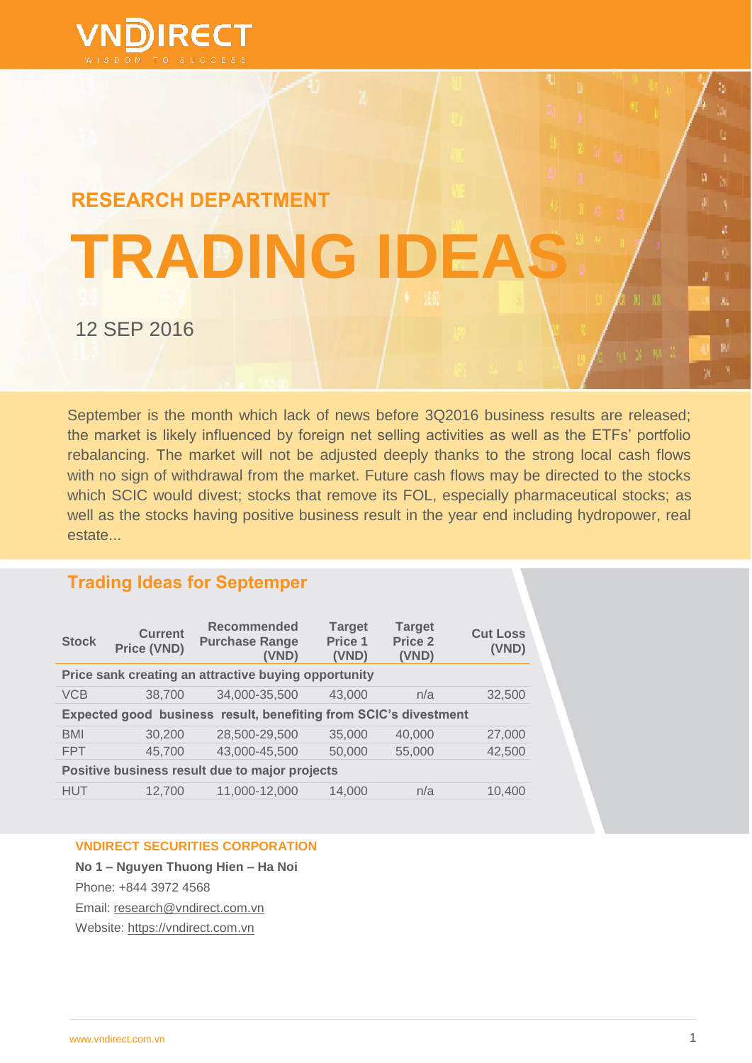

# **RESEARCH DEPARTMENT TRADING IDEAS** 12 SEP 2016

September is the month which lack of news before 3Q2016 business results are released; the market is likely influenced by foreign net selling activities as well as the ETFs" portfolio rebalancing. The market will not be adjusted deeply thanks to the strong local cash flows with no sign of withdrawal from the market. Future cash flows may be directed to the stocks which SCIC would divest; stocks that remove its FOL, especially pharmaceutical stocks; as well as the stocks having positive business result in the year end including hydropower, real estate...

# **Trading Ideas for Septemper**

| <b>Stock</b>                                                     | <b>Current</b><br>Price (VND) | <b>Recommended</b><br><b>Purchase Range</b><br>(VND) | <b>Target</b><br>Price 1<br>(VND) | <b>Target</b><br>Price <sub>2</sub><br>(VND) | <b>Cut Loss</b><br>(VND) |
|------------------------------------------------------------------|-------------------------------|------------------------------------------------------|-----------------------------------|----------------------------------------------|--------------------------|
| Price sank creating an attractive buying opportunity             |                               |                                                      |                                   |                                              |                          |
| <b>VCB</b>                                                       | 38,700                        | 34,000-35,500                                        | 43,000                            | n/a                                          | 32,500                   |
| Expected good business result, benefiting from SCIC's divestment |                               |                                                      |                                   |                                              |                          |
| <b>BMI</b>                                                       | 30,200                        | 28,500-29,500                                        | 35,000                            | 40,000                                       | 27,000                   |
| <b>FPT</b>                                                       | 45,700                        | 43,000-45,500                                        | 50,000                            | 55,000                                       | 42,500                   |
| Positive business result due to major projects                   |                               |                                                      |                                   |                                              |                          |
| <b>HUT</b>                                                       | 12,700                        | 11,000-12,000                                        | 14.000                            | n/a                                          | 10.400                   |

## **VNDIRECT SECURITIES CORPORATION**

**No 1 – Nguyen Thuong Hien – Ha Noi** Phone: +844 3972 4568 Email: [research@vndirect.com.vn](mailto:research@vndirect.com.vn)  Website: [https://vndirect.com.vn](https://vndirect.com.vn/)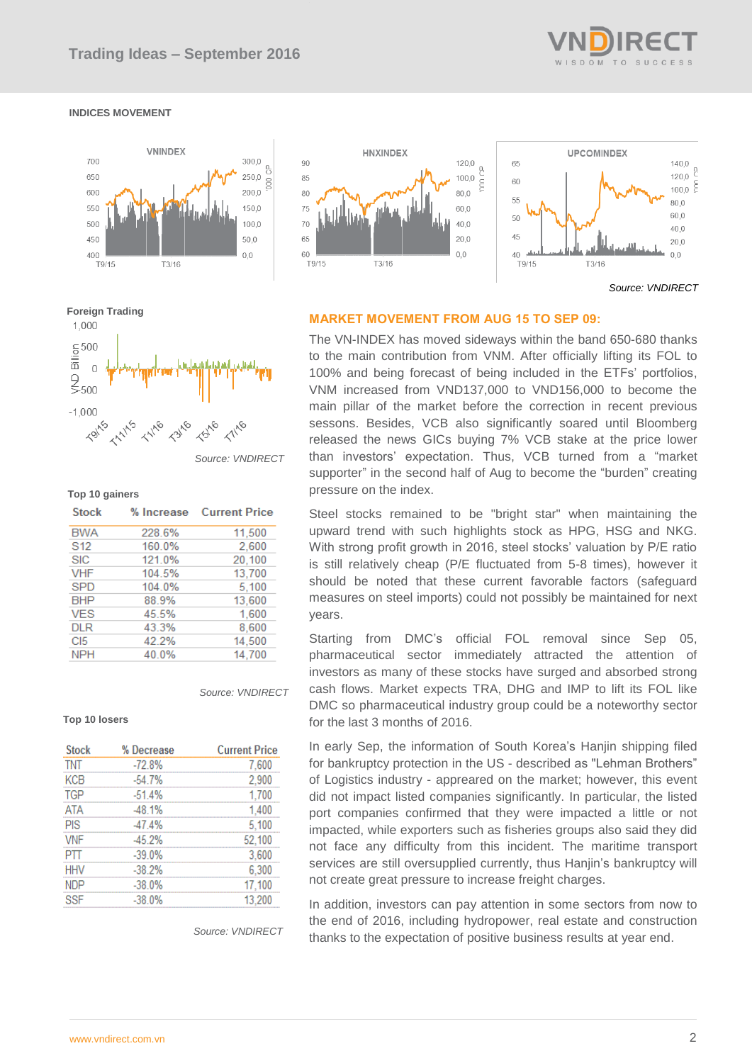

### **INDICES MOVEMENT**





 *Source: VNDIRECT*



### *Source: VNDIRECT*

11.500

 $0.000$ 

### **Top 10 gainers Stock** % Increase **Current Price BWA** 228.6%  $C40$  $400.09$

| $\sim$          | 1 U U . U 7 U | c.vvv  |
|-----------------|---------------|--------|
| <b>SIC</b>      | 121.0%        | 20,100 |
| <b>VHF</b>      | 104.5%        | 13,700 |
| <b>SPD</b>      | 104.0%        | 5.100  |
| <b>BHP</b>      | 88.9%         | 13.600 |
| <b>VES</b>      | 45.5%         | 1.600  |
| <b>DLR</b>      | 43.3%         | 8.600  |
| C <sub>I5</sub> | 42.2%         | 14,500 |
| <b>NPH</b>      | 40.0%         | 14.700 |

### *Source: VNDIRECT*

### **Top 10 losers**

| <b>Stock</b> | % Decrease | <b>Current Price</b> |
|--------------|------------|----------------------|
| <b>TNT</b>   | $-72.8%$   | 7,600                |
| KCB          | $-54.7%$   | 2,900                |
| <b>TGP</b>   | $-51.4%$   | 1,700                |
| <b>ATA</b>   | $-48.1%$   | 1,400                |
| PIS          | $-47.4%$   | 5,100                |
| <b>VNF</b>   | $-45.2%$   | 52,100               |
| PΠ           | $-39.0%$   | 3,600                |
| <b>HHV</b>   | $-38.2%$   | 6,300                |
| <b>NDP</b>   | $-38.0%$   | 17,100               |
| <b>SSF</b>   | $-38.0%$   | 13,200               |

*Source: VNDIRECT*

### **MARKET MOVEMENT FROM AUG 15 TO SEP 09:**

The VN-INDEX has moved sideways within the band 650-680 thanks to the main contribution from VNM. After officially lifting its FOL to 100% and being forecast of being included in the ETFs" portfolios, VNM increased from VND137,000 to VND156,000 to become the main pillar of the market before the correction in recent previous sessons. Besides, VCB also significantly soared until Bloomberg released the news GICs buying 7% VCB stake at the price lower than investors" expectation. Thus, VCB turned from a "market supporter" in the second half of Aug to become the "burden" creating pressure on the index.

Steel stocks remained to be "bright star" when maintaining the upward trend with such highlights stock as HPG, HSG and NKG. With strong profit growth in 2016, steel stocks' valuation by P/E ratio is still relatively cheap (P/E fluctuated from 5-8 times), however it should be noted that these current favorable factors (safeguard measures on steel imports) could not possibly be maintained for next years.

Starting from DMC"s official FOL removal since Sep 05, pharmaceutical sector immediately attracted the attention of investors as many of these stocks have surged and absorbed strong cash flows. Market expects TRA, DHG and IMP to lift its FOL like DMC so pharmaceutical industry group could be a noteworthy sector for the last 3 months of 2016.

In early Sep, the information of South Korea's Hanjin shipping filed for bankruptcy protection in the US - described as "Lehman Brothers" of Logistics industry - appreared on the market; however, this event did not impact listed companies significantly. In particular, the listed port companies confirmed that they were impacted a little or not impacted, while exporters such as fisheries groups also said they did not face any difficulty from this incident. The maritime transport services are still oversupplied currently, thus Hanjin's bankruptcy will not create great pressure to increase freight charges.

In addition, investors can pay attention in some sectors from now to the end of 2016, including hydropower, real estate and construction thanks to the expectation of positive business results at year end.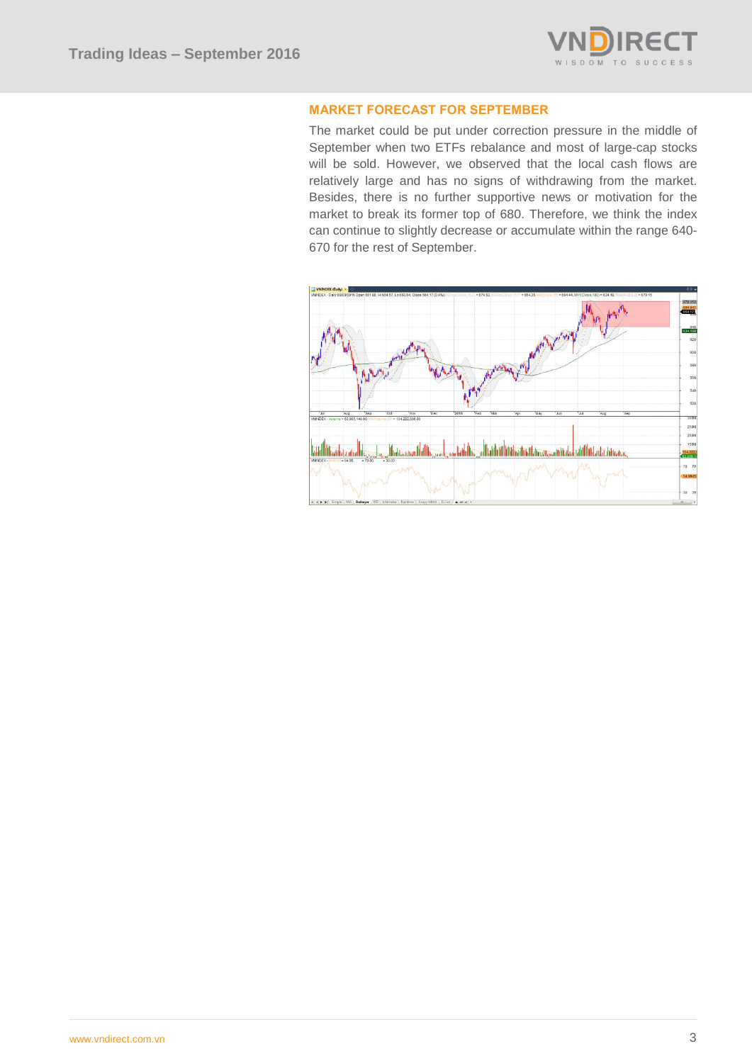

### **MARKET FORECAST FOR SEPTEMBER**

The market could be put under correction pressure in the middle of September when two ETFs rebalance and most of large-cap stocks will be sold. However, we observed that the local cash flows are relatively large and has no signs of withdrawing from the market. Besides, there is no further supportive news or motivation for the market to break its former top of 680. Therefore, we think the index can continue to slightly decrease or accumulate within the range 640- 670 for the rest of September.

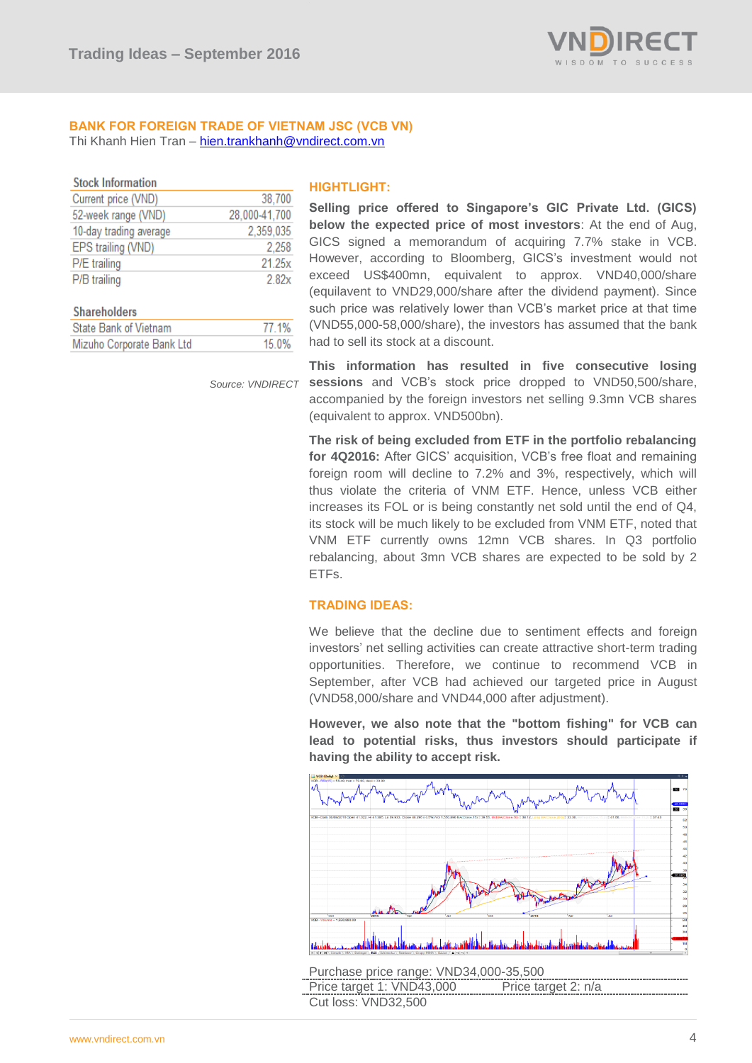

# **BANK FOR FOREIGN TRADE OF VIETNAM JSC (VCB VN)**

38 700 28.000-41.700

> 2.258 21.25x

> > $2.82x$

77 1%

15.0%

2 359 035

Thi Khanh Hien Tran – [hien.trankhanh@vndirect.com.vn](mailto:hien.trankhanh@vndirect.com.vn)

| <b>STOCK INTOFMATION</b> |
|--------------------------|
| Current price (VND)      |
| 52-week range (VND)      |

Mizuho Corporate Bank Ltd

10-day trading average

EPS trailing (VND)

P/E trailing P/B trailing

**Shareholders State Bank of Vietnam** 

 $\sim$   $\sim$ 

### **HIGHTLIGHT:**

**Selling price offered to Singapore's GIC Private Ltd. (GICS) below the expected price of most investors**: At the end of Aug, GICS signed a memorandum of acquiring 7.7% stake in VCB. However, according to Bloomberg, GICS"s investment would not exceed US\$400mn, equivalent to approx. VND40,000/share (equilavent to VND29,000/share after the dividend payment). Since such price was relatively lower than VCB"s market price at that time (VND55,000-58,000/share), the investors has assumed that the bank had to sell its stock at a discount.

 *Source: VNDIRECT*

**This information has resulted in five consecutive losing sessions** and VCB"s stock price dropped to VND50,500/share, accompanied by the foreign investors net selling 9.3mn VCB shares (equivalent to approx. VND500bn).

**The risk of being excluded from ETF in the portfolio rebalancing**  for 4Q2016: After GICS' acquisition, VCB's free float and remaining foreign room will decline to 7.2% and 3%, respectively, which will thus violate the criteria of VNM ETF. Hence, unless VCB either increases its FOL or is being constantly net sold until the end of Q4, its stock will be much likely to be excluded from VNM ETF, noted that VNM ETF currently owns 12mn VCB shares. In Q3 portfolio rebalancing, about 3mn VCB shares are expected to be sold by 2 ETFs.

### **TRADING IDEAS:**

We believe that the decline due to sentiment effects and foreign investors" net selling activities can create attractive short-term trading opportunities. Therefore, we continue to recommend VCB in September, after VCB had achieved our targeted price in August (VND58,000/share and VND44,000 after adjustment).

**However, we also note that the "bottom fishing" for VCB can lead to potential risks, thus investors should participate if having the ability to accept risk.**



Price target 1: VND43,000 Price target 2: n/a Cut loss: VND32,500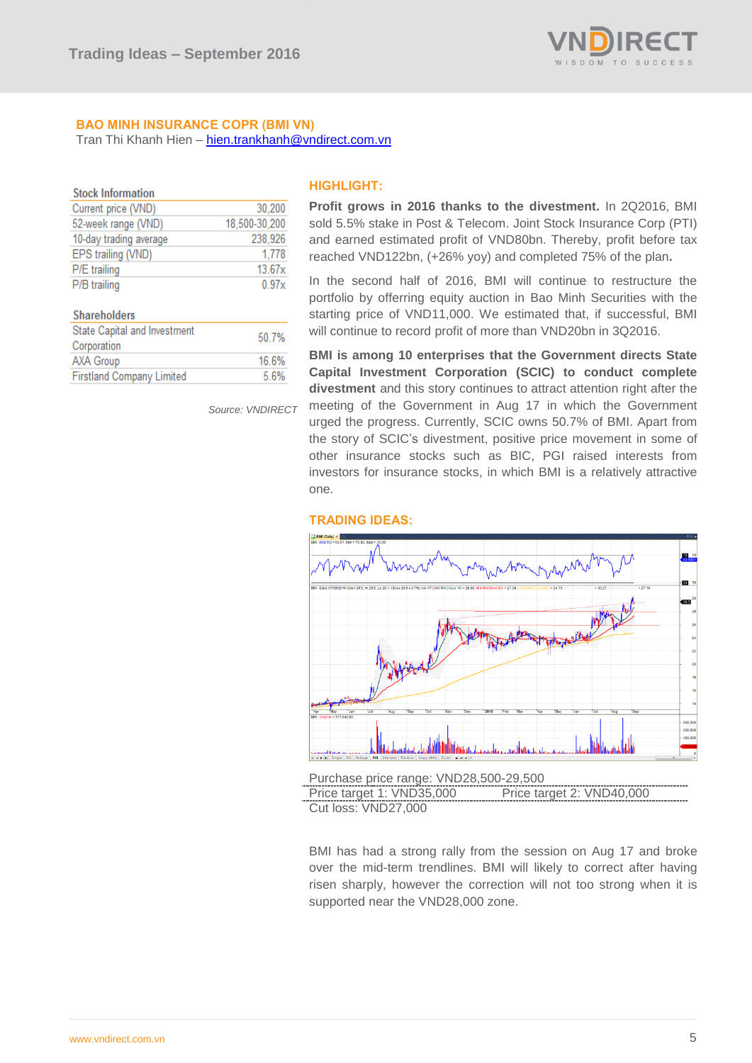

### **BAO MINH INSURANCE COPR (BMI VN)** Tran Thi Khanh Hien – [hien.trankhanh@vndirect.com.vn](mailto:hien.trankhanh@vndirect.com.vn)

| <b>Stock Information</b> |               |
|--------------------------|---------------|
| Current price (VND)      | 30,200        |
| 52-week range (VND)      | 18,500-30,200 |
| 10-day trading average   | 238,926       |
| EPS trailing (VND)       | 1,778         |
| P/E trailing             | 13.67x        |
| P/B trailing             | 0.97x         |
|                          |               |

### Shareholders

| State Capital and Investment<br>Corporation | 50.7% |
|---------------------------------------------|-------|
| <b>AXA Group</b>                            | 16.6% |
| <b>Firstland Company Limited</b>            | 5.6%  |

*Source: VNDIRECT* 

### **HIGHLIGHT:**

**Profit grows in 2016 thanks to the divestment.** In 2Q2016, BMI sold 5.5% stake in Post & Telecom. Joint Stock Insurance Corp (PTI) and earned estimated profit of VND80bn. Thereby, profit before tax reached VND122bn, (+26% yoy) and completed 75% of the plan**.**

In the second half of 2016, BMI will continue to restructure the portfolio by offerring equity auction in Bao Minh Securities with the starting price of VND11,000. We estimated that, if successful, BMI will continue to record profit of more than VND20bn in 3Q2016.

**BMI is among 10 enterprises that the Government directs State Capital Investment Corporation (SCIC) to conduct complete divestment** and this story continues to attract attention right after the meeting of the Government in Aug 17 in which the Government urged the progress. Currently, SCIC owns 50.7% of BMI. Apart from the story of SCIC"s divestment, positive price movement in some of other insurance stocks such as BIC, PGI raised interests from investors for insurance stocks, in which BMI is a relatively attractive one.



### **TRADING IDEAS:**

Price target 1: VND35,000 Price target 2: VND40,000 Cut loss: VND27,000

Purchase price range: VND28,500-29,500

BMI has had a strong rally from the session on Aug 17 and broke over the mid-term trendlines. BMI will likely to correct after having risen sharply, however the correction will not too strong when it is supported near the VND28,000 zone.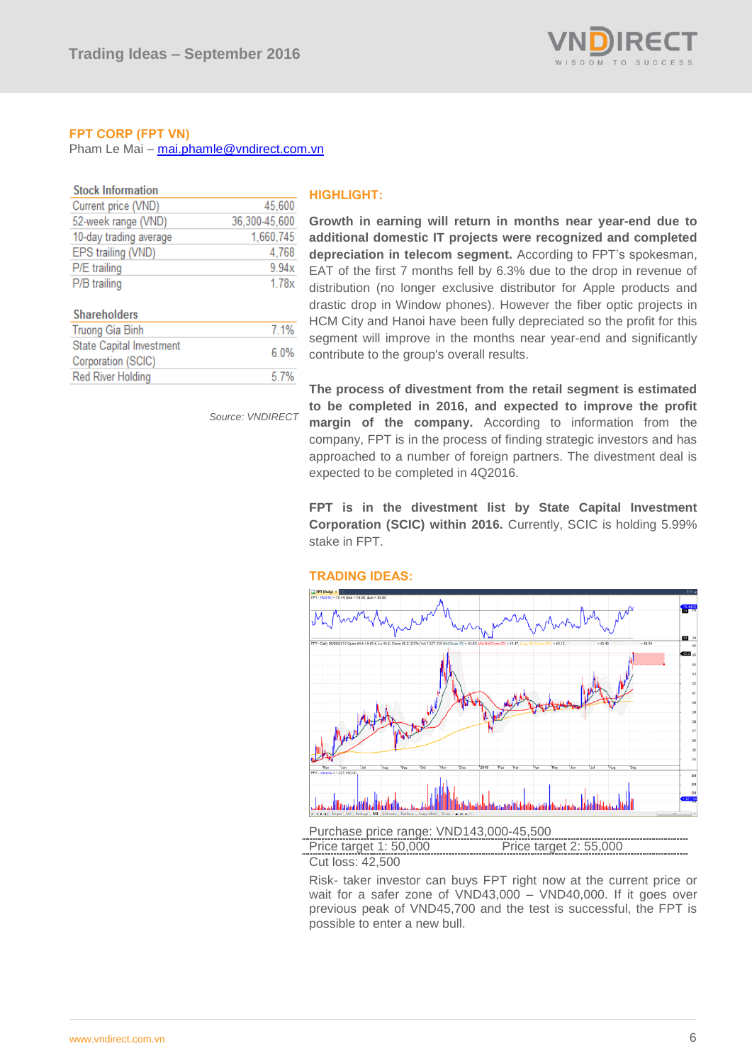

### **FPT CORP (FPT VN)**

**Red River Holding** 

Pham Le Mai – [mai.phamle@vndirect.com.vn](mailto:mai.phamle@vndirect.com.vn)

| <b>Stock Information</b>        |               |
|---------------------------------|---------------|
| Current price (VND)             | 45,600        |
| 52-week range (VND)             | 36,300-45,600 |
| 10-day trading average          | 1,660,745     |
| EPS trailing (VND)              | 4,768         |
| P/E trailing                    | 9.94x         |
| P/B trailing                    | 1.78x         |
|                                 |               |
| <b>Shareholders</b>             |               |
| <b>Truong Gia Binh</b>          | 7.1%          |
| <b>State Capital Investment</b> |               |
| Corporation (SCIC)              | 6.0%          |

*Source: VNDIRECT*

5.7%

### **HIGHLIGHT:**

**Growth in earning will return in months near year-end due to additional domestic IT projects were recognized and completed depreciation in telecom segment.** According to FPT"s spokesman, EAT of the first 7 months fell by 6.3% due to the drop in revenue of distribution (no longer exclusive distributor for Apple products and drastic drop in Window phones). However the fiber optic projects in HCM City and Hanoi have been fully depreciated so the profit for this segment will improve in the months near year-end and significantly contribute to the group's overall results.

**The process of divestment from the retail segment is estimated to be completed in 2016, and expected to improve the profit margin of the company.** According to information from the company, FPT is in the process of finding strategic investors and has approached to a number of foreign partners. The divestment deal is expected to be completed in 4Q2016.

**FPT is in the divestment list by State Capital Investment Corporation (SCIC) within 2016.** Currently, SCIC is holding 5.99% stake in FPT.



# **TRADING IDEAS:**

Price target 1: 50,000 Price target 2: 55,000

Cut loss: 42,500

Risk- taker investor can buys FPT right now at the current price or wait for a safer zone of VND43,000 – VND40,000. If it goes over previous peak of VND45,700 and the test is successful, the FPT is possible to enter a new bull.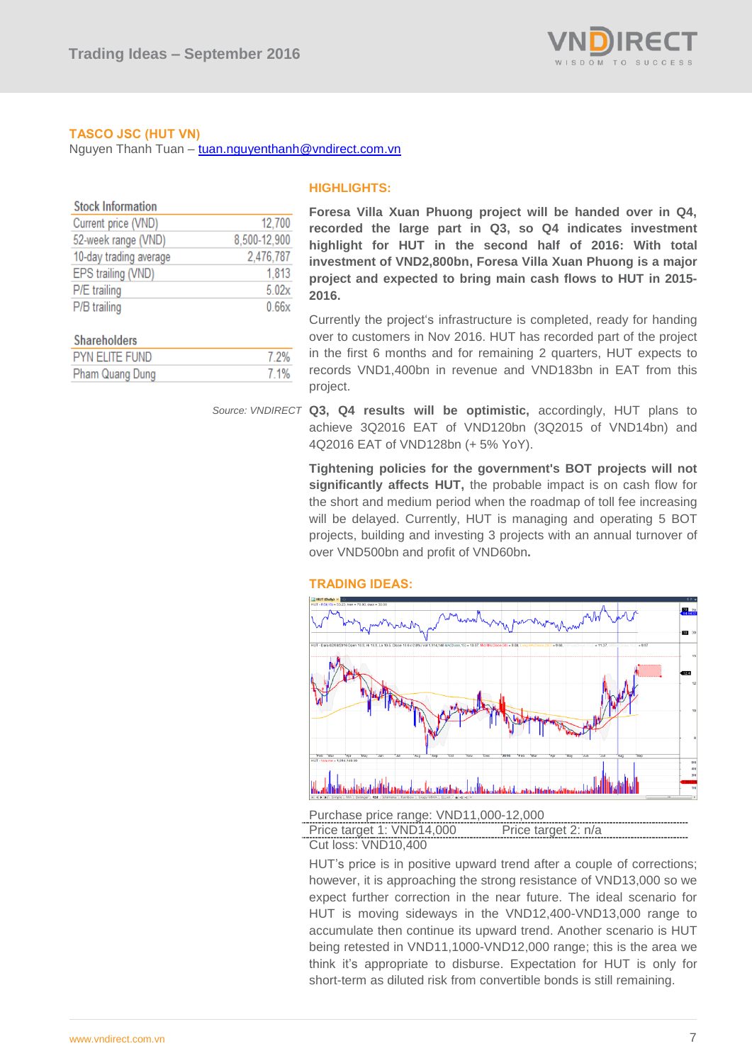

### **TASCO JSC (HUT VN)**

Pham Quang Dung

Nguyen Thanh Tuan – [tuan.nguyenthanh@vndirect.com.vn](mailto:tuan.nguyenthanh@vndirect.com.vn)

7.1%

| <b>Stock Information</b> |              |
|--------------------------|--------------|
| Current price (VND)      | 12,700       |
| 52-week range (VND)      | 8,500-12,900 |
| 10-day trading average   | 2,476,787    |
| EPS trailing (VND)       | 1,813        |
| P/E trailing             | 5.02x        |
| P/B trailing             | 0.66x        |
| <b>Shareholders</b>      |              |
| <b>PYN ELITE FUND</b>    | 7.2%         |

### **HIGHLIGHTS:**

**Foresa Villa Xuan Phuong project will be handed over in Q4, recorded the large part in Q3, so Q4 indicates investment highlight for HUT in the second half of 2016: With total investment of VND2,800bn, Foresa Villa Xuan Phuong is a major project and expected to bring main cash flows to HUT in 2015- 2016.**

Currently the project's infrastructure is completed, ready for handing over to customers in Nov 2016. HUT has recorded part of the project in the first 6 months and for remaining 2 quarters, HUT expects to records VND1,400bn in revenue and VND183bn in EAT from this project.

### Source: VNDIRECT **Q3, Q4 results will be optimistic,** accordingly, HUT plans to achieve 3Q2016 EAT of VND120bn (3Q2015 of VND14bn) and 4Q2016 EAT of VND128bn (+ 5% YoY).

**Tightening policies for the government's BOT projects will not significantly affects HUT,** the probable impact is on cash flow for the short and medium period when the roadmap of toll fee increasing will be delayed. Currently, HUT is managing and operating 5 BOT projects, building and investing 3 projects with an annual turnover of over VND500bn and profit of VND60bn**.**

### **TRADING IDEAS:**



Purchase price range: VND11,000-12,000

Price target 1: VND14,000 Price target 2: n/a Cut loss: VND10,400

HUT"s price is in positive upward trend after a couple of corrections; however, it is approaching the strong resistance of VND13,000 so we expect further correction in the near future. The ideal scenario for HUT is moving sideways in the VND12,400-VND13,000 range to accumulate then continue its upward trend. Another scenario is HUT being retested in VND11,1000-VND12,000 range; this is the area we think it's appropriate to disburse. Expectation for HUT is only for short-term as diluted risk from convertible bonds is still remaining.